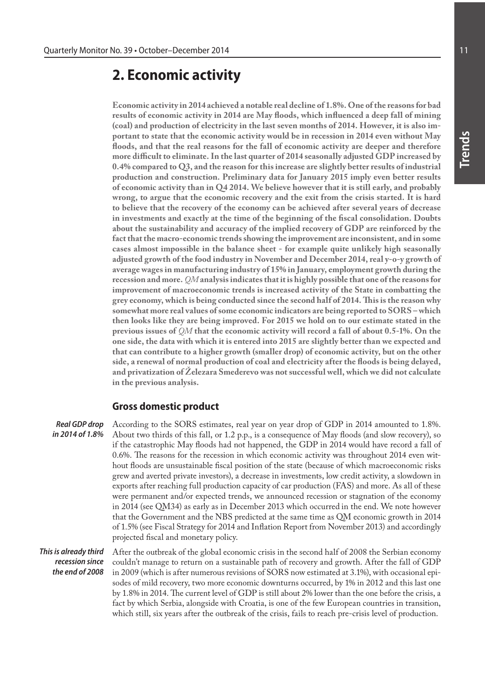# **2. Economic activity**

**Economic activity in 2014 achieved a notable real decline of 1.8%. One of the reasons for bad results of economic activity in 2014 are May floods, which influenced a deep fall of mining (coal) and production of electricity in the last seven months of 2014. However, it is also important to state that the economic activity would be in recession in 2014 even without May floods, and that the real reasons for the fall of economic activity are deeper and therefore more difficult to eliminate. In the last quarter of 2014 seasonally adjusted GDP increased by 0.4% compared to Q3, and the reason for this increase are slightly better results of industrial production and construction. Preliminary data for January 2015 imply even better results of economic activity than in Q4 2014. We believe however that it is still early, and probably wrong, to argue that the economic recovery and the exit from the crisis started. It is hard to believe that the recovery of the economy can be achieved after several years of decrease in investments and exactly at the time of the beginning of the fiscal consolidation. Doubts about the sustainability and accuracy of the implied recovery of GDP are reinforced by the fact that the macro-economic trends showing the improvement are inconsistent, and in some cases almost impossible in the balance sheet - for example quite unlikely high seasonally adjusted growth of the food industry in November and December 2014, real y-o-y growth of average wages in manufacturing industry of 15% in January, employment growth during the recession and more.** *QM* **analysis indicates that it is highly possible that one of the reasons for improvement of macroeconomic trends is increased activity of the State in combatting the grey economy, which is being conducted since the second half of 2014. This is the reason why somewhat more real values of some economic indicators are being reported to SORS – which then looks like they are being improved. For 2015 we hold on to our estimate stated in the previous issues of** *QM* **that the economic activity will record a fall of about 0.5-1%. On the one side, the data with which it is entered into 2015 are slightly better than we expected and that can contribute to a higher growth (smaller drop) of economic activity, but on the other side, a renewal of normal production of coal and electricity after the floods is being delayed, and privatization of Železara Smederevo was not successful well, which we did not calculate in the previous analysis.**

### **Gross domestic product**

According to the SORS estimates, real year on year drop of GDP in 2014 amounted to 1.8%. About two thirds of this fall, or 1.2 p.p., is a consequence of May floods (and slow recovery), so if the catastrophic May floods had not happened, the GDP in 2014 would have record a fall of 0.6%. The reasons for the recession in which economic activity was throughout 2014 even without floods are unsustainable fiscal position of the state (because of which macroeconomic risks grew and averted private investors), a decrease in investments, low credit activity, a slowdown in exports after reaching full production capacity of car production (FAS) and more. As all of these were permanent and/or expected trends, we announced recession or stagnation of the economy in 2014 (see QM34) as early as in December 2013 which occurred in the end. We note however that the Government and the NBS predicted at the same time as QM economic growth in 2014 of 1.5% (see Fiscal Strategy for 2014 and Inflation Report from November 2013) and accordingly projected fiscal and monetary policy. *Real GDP drop in 2014 of 1.8%*

After the outbreak of the global economic crisis in the second half of 2008 the Serbian economy couldn't manage to return on a sustainable path of recovery and growth. After the fall of GDP in 2009 (which is after numerous revisions of SORS now estimated at 3.1%), with occasional episodes of mild recovery, two more economic downturns occurred, by 1% in 2012 and this last one by 1.8% in 2014. The current level of GDP is still about 2% lower than the one before the crisis, a fact by which Serbia, alongside with Croatia, is one of the few European countries in transition, which still, six years after the outbreak of the crisis, fails to reach pre-crisis level of production. *This is already third recession since the end of 2008*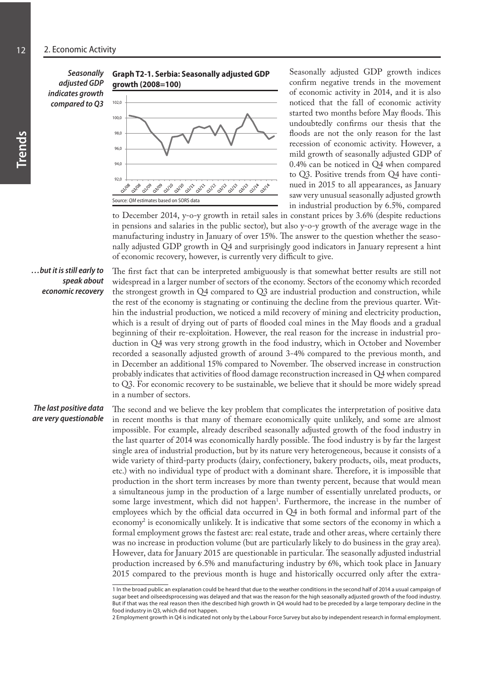*Seasonally adjusted GDP indicates growth compared to Q3*





Seasonally adjusted GDP growth indices confirm negative trends in the movement of economic activity in 2014, and it is also noticed that the fall of economic activity started two months before May floods. This undoubtedly confirms our thesis that the floods are not the only reason for the last recession of economic activity. However, a mild growth of seasonally adjusted GDP of 0.4% can be noticed in Q4 when compared to Q3. Positive trends from Q4 have continued in 2015 to all appearances, as January saw very unusual seasonally adjusted growth in industrial production by 6.5%, compared

to December 2014, y-o-y growth in retail sales in constant prices by 3.6% (despite reductions in pensions and salaries in the public sector), but also y-o-y growth of the average wage in the manufacturing industry in January of over 15%. The answer to the question whether the seasonally adjusted GDP growth in Q4 and surprisingly good indicators in January represent a hint of economic recovery, however, is currently very difficult to give.

#### *…but it is still early to speak about economic recovery*

The first fact that can be interpreted ambiguously is that somewhat better results are still not widespread in a larger number of sectors of the economy. Sectors of the economy which recorded the strongest growth in Q4 compared to Q3 are industrial production and construction, while the rest of the economy is stagnating or continuing the decline from the previous quarter. Within the industrial production, we noticed a mild recovery of mining and electricity production, which is a result of drying out of parts of flooded coal mines in the May floods and a gradual beginning of their re-exploitation. However, the real reason for the increase in industrial production in Q4 was very strong growth in the food industry, which in October and November recorded a seasonally adjusted growth of around 3-4% compared to the previous month, and in December an additional 15% compared to November. The observed increase in construction probably indicates that activities of flood damage reconstruction increased in Q4 when compared to Q3. For economic recovery to be sustainable, we believe that it should be more widely spread in a number of sectors.

*The last positive data are very questionable*

The second and we believe the key problem that complicates the interpretation of positive data in recent months is that many of themare economically quite unlikely, and some are almost impossible. For example, already described seasonally adjusted growth of the food industry in the last quarter of 2014 was economically hardly possible. The food industry is by far the largest single area of industrial production, but by its nature very heterogeneous, because it consists of a wide variety of third-party products (dairy, confectionery, bakery products, oils, meat products, etc.) with no individual type of product with a dominant share. Therefore, it is impossible that production in the short term increases by more than twenty percent, because that would mean a simultaneous jump in the production of a large number of essentially unrelated products, or some large investment, which did not happen<sup>1</sup>. Furthermore, the increase in the number of employees which by the official data occurred in Q4 in both formal and informal part of the economy2 is economically unlikely. It is indicative that some sectors of the economy in which a formal employment grows the fastest are: real estate, trade and other areas, where certainly there was no increase in production volume (but are particularly likely to do business in the gray area). However, data for January 2015 are questionable in particular. The seasonally adjusted industrial production increased by 6.5% and manufacturing industry by 6%, which took place in January 2015 compared to the previous month is huge and historically occurred only after the extra-

<sup>1</sup> In the broad public an explanation could be heard that due to the weather conditions in the second half of 2014 a usual campaign of sugar beet and oilseedsprocessing was delayed and that was the reason for the high seasonally adjusted growth of the food industry. But if that was the real reason then ithe described high growth in Q4 would had to be preceded by a large temporary decline in the food industry in Q3, which did not happen.

<sup>2</sup> Employment growth in Q4 is indicated not only by the Labour Force Survey but also by independent research in formal employment.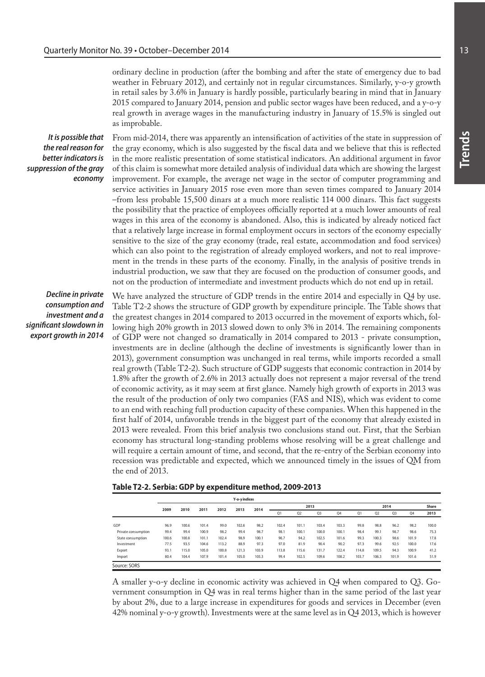ordinary decline in production (after the bombing and after the state of emergency due to bad weather in February 2012), and certainly not in regular circumstances. Similarly, y-o-y growth in retail sales by 3.6% in January is hardly possible, particularly bearing in mind that in January 2015 compared to January 2014, pension and public sector wages have been reduced, and a y-o-y real growth in average wages in the manufacturing industry in January of 15.5% is singled out as improbable.

*It is possible that the real reason for better indicators is suppression of the gray economy*

From mid-2014, there was apparently an intensification of activities of the state in suppression of the gray economy, which is also suggested by the fiscal data and we believe that this is reflected in the more realistic presentation of some statistical indicators. An additional argument in favor of this claim is somewhat more detailed analysis of individual data which are showing the largest improvement. For example, the average net wage in the sector of computer programming and service activities in January 2015 rose even more than seven times compared to January 2014 –from less probable 15,500 dinars at a much more realistic 114 000 dinars. This fact suggests the possibility that the practice of employees officially reported at a much lower amounts of real wages in this area of the economy is abandoned. Also, this is indicated by already noticed fact that a relatively large increase in formal employment occurs in sectors of the economy especially sensitive to the size of the gray economy (trade, real estate, accommodation and food services) which can also point to the registration of already employed workers, and not to real improvement in the trends in these parts of the economy. Finally, in the analysis of positive trends in industrial production, we saw that they are focused on the production of consumer goods, and not on the production of intermediate and investment products which do not end up in retail.

*Decline in private consumption and investment and a significant slowdown in export growth in 2014*

We have analyzed the structure of GDP trends in the entire 2014 and especially in Q4 by use. Table T2-2 shows the structure of GDP growth by expenditure principle. The Table shows that the greatest changes in 2014 compared to 2013 occurred in the movement of exports which, following high 20% growth in 2013 slowed down to only 3% in 2014. The remaining components of GDP were not changed so dramatically in 2014 compared to 2013 - private consumption, investments are in decline (although the decline of investments is significantly lower than in 2013), government consumption was unchanged in real terms, while imports recorded a small real growth (Table T2-2). Such structure of GDP suggests that economic contraction in 2014 by 1.8% after the growth of 2.6% in 2013 actually does not represent a major reversal of the trend of economic activity, as it may seem at first glance. Namely high growth of exports in 2013 was the result of the production of only two companies (FAS and NIS), which was evident to come to an end with reaching full production capacity of these companies. When this happened in the first half of 2014, unfavorable trends in the biggest part of the economy that already existed in 2013 were revealed. From this brief analysis two conclusions stand out. First, that the Serbian economy has structural long-standing problems whose resolving will be a great challenge and will require a certain amount of time, and second, that the re-entry of the Serbian economy into recession was predictable and expected, which we announced timely in the issues of QM from the end of 2013.

|                     |       |       |       |       | <b>Y-o-vindices</b> |       |       |                |                |       |       |                |                |       |       |
|---------------------|-------|-------|-------|-------|---------------------|-------|-------|----------------|----------------|-------|-------|----------------|----------------|-------|-------|
|                     |       |       |       |       |                     |       |       |                | 2013           |       |       |                | Share          |       |       |
|                     | 2009  | 2010  | 2011  | 2012  | 2013                | 2014  | Q1    | Q <sub>2</sub> | Q <sub>3</sub> | Q4    | Q1    | Q <sub>2</sub> | Q <sub>3</sub> | Q4    | 2013  |
| GDP                 | 96.9  | 100.6 | 101.4 | 99.0  | 102.6               | 98.2  | 102.4 | 101.1          | 103.4          | 103.3 | 99.8  | 98.8           | 96.2           | 98.2  | 100.0 |
| Private consumption | 99.4  | 99.4  | 100.9 | 98.2  | 99.4                | 98.7  | 98.1  | 100.1          | 100.0          | 100.1 | 98.4  | 99.1           | 98.7           | 98.6  | 75.3  |
| State consumption   | 100.6 | 100.8 | 101.1 | 102.4 | 98.9                | 100.1 | 96.7  | 94.2           | 102.5          | 101.6 | 99.3  | 100.3          | 98.6           | 101.9 | 17.8  |
| Investment          | 77.5  | 93.5  | 104.6 | 113.2 | 88.9                | 97.3  | 97.0  | 81.9           | 90.4           | 90.2  | 97.3  | 99.6           | 92.5           | 100.0 | 17.6  |
| Export              | 93.1  | 115.0 | 105.0 | 100.8 | 121.3               | 103.9 | 113.8 | 115.6          | 131.7          | 122.4 | 114.8 | 109.5          | 94.3           | 100.9 | 41.2  |
| Import              | 80.4  | 104.4 | 107.9 | 101.4 | 105.0               | 103.3 | 99.4  | 102.5          | 109.6          | 108.2 | 103.7 | 106.3          | 101.9          | 101.6 | 51.9  |
| Source: SORS        |       |       |       |       |                     |       |       |                |                |       |       |                |                |       |       |

A smaller y-o-y decline in economic activity was achieved in Q4 when compared to Q3. Government consumption in Q4 was in real terms higher than in the same period of the last year by about 2%, due to a large increase in expenditures for goods and services in December (even 42% nominal y-o-y growth). Investments were at the same level as in Q4 2013, which is however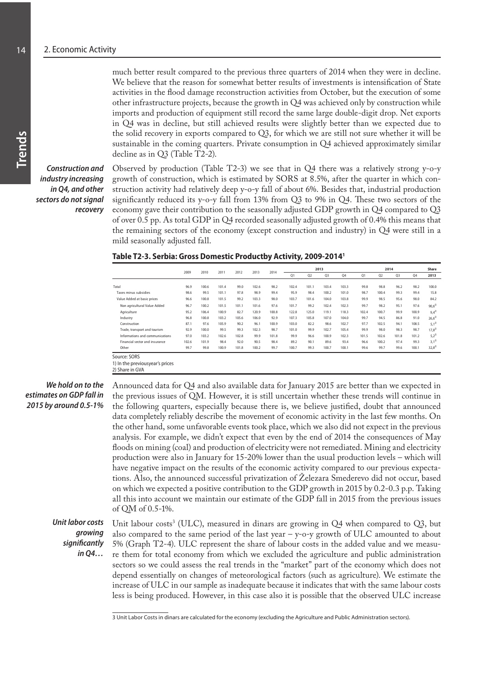much better result compared to the previous three quarters of 2014 when they were in decline. We believe that the reason for somewhat better results of investments is intensification of State activities in the flood damage reconstruction activities from October, but the execution of some other infrastructure projects, because the growth in  $Q4$  was achieved only by construction while imports and production of equipment still record the same large double-digit drop. Net exports in Q4 was in decline, but still achieved results were slightly better than we expected due to the solid recovery in exports compared to  $Q3$ , for which we are still not sure whether it will be sustainable in the coming quarters. Private consumption in Q4 achieved approximately similar decline as in Q3 (Table T2-2).

*Construction and industry increasing in Q4, and other sectors do not signal recovery*

Observed by production (Table T2-3) we see that in Q4 there was a relatively strong y-o-y growth of construction, which is estimated by SORS at 8.5%, after the quarter in which construction activity had relatively deep y-o-y fall of about 6%. Besides that, industrial production significantly reduced its y-o-y fall from 13% from Q3 to 9% in Q4. These two sectors of the economy gave their contribution to the seasonally adjusted GDP growth in Q4 compared to Q3 of over 0.5 pp. As total GDP in Q4 recorded seasonally adjusted growth of 0.4% this means that the remaining sectors of the economy (except construction and industry) in Q4 were still in a mild seasonally adjusted fall.

| Table T2-3. Serbia: Gross Domestic Productby Activity, 2009-2014 <sup>1</sup> |  |
|-------------------------------------------------------------------------------|--|
|-------------------------------------------------------------------------------|--|

|                                                               | 2009  | 2010  | 2011  | 2012  | 2013  | 2014  | 2013  |       |       |       |       | 2014           |                |       | Share      |
|---------------------------------------------------------------|-------|-------|-------|-------|-------|-------|-------|-------|-------|-------|-------|----------------|----------------|-------|------------|
|                                                               |       |       |       |       |       |       | Q1    | Q2    | Q3    | Q4    | Q1    | Q <sub>2</sub> | Q <sub>3</sub> | Q4    | 2013       |
|                                                               |       |       |       |       |       |       |       |       |       |       |       |                |                |       |            |
| Total                                                         | 96.9  | 100.6 | 101.4 | 99.0  | 102.6 | 98.2  | 102.4 | 101.1 | 103.4 | 103.3 | 99.8  | 98.8           | 96.2           | 98.2  | 100.0      |
| Taxes minus subsidies                                         | 98.6  | 99.5  | 101.1 | 97.8  | 98.9  | 99.4  | 95.9  | 98.4  | 100.2 | 101.0 | 98.7  | 100.4          | 99.3           | 99.4  | 15.8       |
| Value Added at basic prices                                   | 96.6  | 100.8 | 101.5 | 99.2  | 103.3 | 98.0  | 103.7 | 101.6 | 104.0 | 103.8 | 99.9  | 98.5           | 95.6           | 98.0  | 84.2       |
| Non agricultural Value Added                                  | 96.7  | 100.2 | 101.5 | 101.1 | 101.6 | 97.6  | 101.7 | 99.2  | 102.4 | 102.3 | 99.7  | 98.2           | 95.1           | 97.6  | $90.6^{2}$ |
| Agriculture                                                   | 95.2  | 106.4 | 100.9 | 82.7  | 120.9 | 100.8 | 122.8 | 125.0 | 119.1 | 118.3 | 102.4 | 100.7          | 99.9           | 100.9 | $9.4^{21}$ |
| Industry                                                      | 96.8  | 100.8 | 103.2 | 105.6 | 106.0 | 92.9  | 107.3 | 105.8 | 107.0 | 104.0 | 99.7  | 94.5           | 86.8           | 91.0  | $26.6^{2}$ |
| Construction                                                  | 87.1  | 97.6  | 105.9 | 90.2  | 96.1  | 100.9 | 103.0 | 82.2  | 98.6  | 102.7 | 97.7  | 102.5          | 94.1           | 108.5 | $5.1^{2}$  |
| Trade, transport and tourism                                  | 92.9  | 100.0 | 99.5  | 99.3  | 102.3 | 98.7  | 101.0 | 99.9  | 102.7 | 105.4 | 99.9  | 98.0           | 98.3           | 98.7  | $17.8^{2}$ |
| Informations and communications                               | 97.0  | 103.2 | 102.6 | 102.8 | 99.9  | 101.8 | 99.9  | 96.6  | 100.9 | 102.3 | 101.5 | 102.6          | 101.8          | 101.2 | $5.2^{2}$  |
| Financial sector and insurance                                | 102.6 | 101.9 | 98.4  | 92.0  | 90.5  | 98.4  | 89.2  | 90.1  | 89.6  | 93.4  | 96.6  | 100.2          | 97.4           | 99.3  | $3.1^{2}$  |
| Other                                                         | 99.7  | 99.8  | 100.9 | 101.8 | 100.2 | 99.7  | 100.7 | 99.3  | 100.7 | 100.1 | 99.6  | 99.7           | 99.6           | 100.1 | $32,8^{2}$ |
| Source: SORS<br>المحافظ والمحامين والمحافظ والمحافظ والمستحدث |       |       |       |       |       |       |       |       |       |       |       |                |                |       |            |

1) In the previousyear's prices 2) Share in GVA

#### *We hold on to the estimates on GDP fall in 2015 by around 0.5-1%*

Announced data for Q4 and also available data for January 2015 are better than we expected in the previous issues of QM. However, it is still uncertain whether these trends will continue in the following quarters, especially because there is, we believe justified, doubt that announced data completely reliably describe the movement of economic activity in the last few months. On the other hand, some unfavorable events took place, which we also did not expect in the previous analysis. For example, we didn't expect that even by the end of 2014 the consequences of May floods on mining (coal) and production of electricity were not remediated. Mining and electricity production were also in January for 15-20% lower than the usual production levels – which will have negative impact on the results of the economic activity compared to our previous expectations. Also, the announced successful privatization of Železara Smederevo did not occur, based on which we expected a positive contribution to the GDP growth in 2015 by 0.2-0.3 p.p. Taking all this into account we maintain our estimate of the GDP fall in 2015 from the previous issues of QM of 0.5-1%.

#### *Unit labor costs growing significantly in Q4…*

Unit labour costs<sup>3</sup> (ULC), measured in dinars are growing in  $Q4$  when compared to  $Q3$ , but also compared to the same period of the last year  $-$  y-o-y growth of ULC amounted to about 5% (Graph T2-4). ULC represent the share of labour costs in the added value and we measure them for total economy from which we excluded the agriculture and public administration sectors so we could assess the real trends in the "market" part of the economy which does not depend essentially on changes of meteorological factors (such as agriculture). We estimate the increase of ULC in our sample as inadequate because it indicates that with the same labour costs less is being produced. However, in this case also it is possible that the observed ULC increase

<sup>3</sup> Unit Labor Costs in dinars are calculated for the economy (excluding the Agriculture and Public Administration sectors).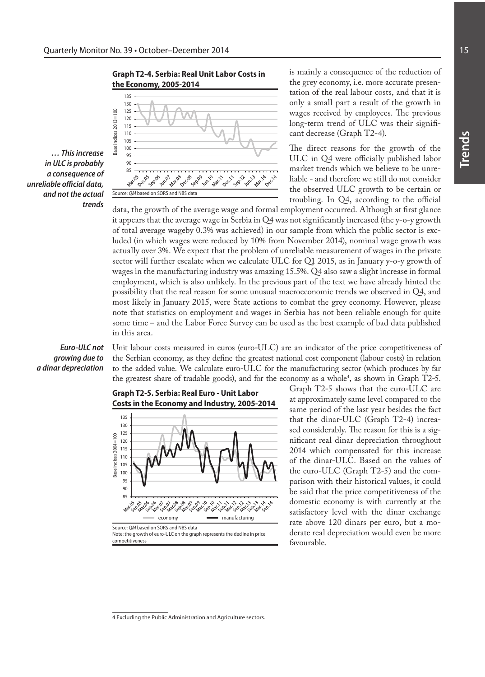



*… This increase in ULC is probably a consequence of unreliable official data, and not the actual trends*

troubling. In Q4, according to the official data, the growth of the average wage and formal employment occurred. Although at first glance it appears that the average wage in Serbia in Q4 was not significantly increased (the y-o-y growth of total average wageby 0.3% was achieved) in our sample from which the public sector is excluded (in which wages were reduced by 10% from November 2014), nominal wage growth was actually over 3%. We expect that the problem of unreliable measurement of wages in the private sector will further escalate when we calculate ULC for Q1 2015, as in January y-o-y growth of wages in the manufacturing industry was amazing 15.5%. Q4 also saw a slight increase in formal employment, which is also unlikely. In the previous part of the text we have already hinted the possibility that the real reason for some unusual macroeconomic trends we observed in Q4, and most likely in January 2015, were State actions to combat the grey economy. However, please note that statistics on employment and wages in Serbia has not been reliable enough for quite some time – and the Labor Force Survey can be used as the best example of bad data published in this area.

# *Euro-ULC not growing due to a dinar depreciation*

Unit labour costs measured in euros (euro-ULC) are an indicator of the price competitiveness of the Serbian economy, as they define the greatest national cost component (labour costs) in relation to the added value. We calculate euro-ULC for the manufacturing sector (which produces by far the greatest share of tradable goods), and for the economy as a whole<sup>4</sup>, as shown in Graph T2-5.





Graph T2-5 shows that the euro-ULC are at approximately same level compared to the same period of the last year besides the fact that the dinar-ULC (Graph T2-4) increased considerably. The reason for this is a significant real dinar depreciation throughout 2014 which compensated for this increase of the dinar-ULC. Based on the values of the euro-ULC (Graph T2-5) and the comparison with their historical values, it could be said that the price competitiveness of the domestic economy is with currently at the satisfactory level with the dinar exchange rate above 120 dinars per euro, but a moderate real depreciation would even be more favourable.

is mainly a consequence of the reduction of the grey economy, i.e. more accurate presentation of the real labour costs, and that it is only a small part a result of the growth in wages received by employees. The previous long-term trend of ULC was their signifi-

The direct reasons for the growth of the ULC in Q4 were officially published labor market trends which we believe to be unreliable - and therefore we still do not consider the observed ULC growth to be certain or

cant decrease (Graph T2-4).

<sup>4</sup> Excluding the Public Administration and Agriculture sectors.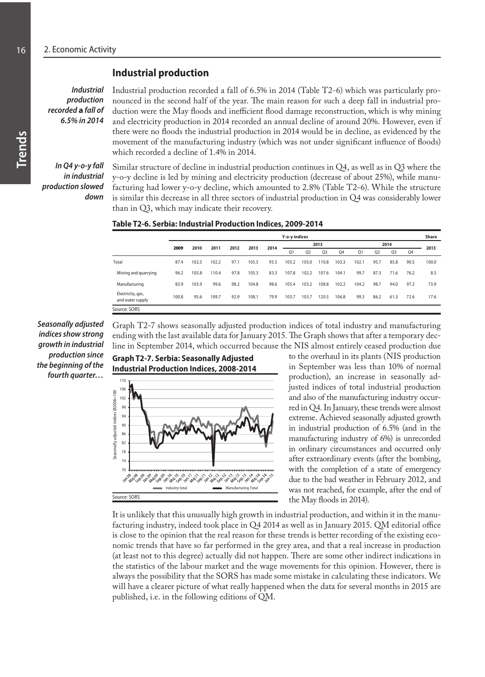# **Industrial production**

*Industrial production recorded* **a** *fall of 6.5% in 2014* Industrial production recorded a fall of 6.5% in 2014 (Table T2-6) which was particularly pronounced in the second half of the year. The main reason for such a deep fall in industrial production were the May floods and inefficient flood damage reconstruction, which is why mining and electricity production in 2014 recorded an annual decline of around 20%. However, even if there were no floods the industrial production in 2014 would be in decline, as evidenced by the movement of the manufacturing industry (which was not under significant influence of floods) which recorded a decline of 1.4% in 2014.

*In Q4 y-o-y fall in industrial production slowed down*

Similar structure of decline in industrial production continues in Q4, as well as in Q3 where the y-o-y decline is led by mining and electricity production (decrease of about 25%), while manufacturing had lower y-o-y decline, which amounted to 2.8% (Table T2-6). While the structure is similar this decrease in all three sectors of industrial production in Q4 was considerably lower than in Q3, which may indicate their recovery.

#### **Table T2-6. Serbia: Industrial Production Indices, 2009-2014**

|                                       | Y-o-y indices |              |       |      |       |      |                |                |                |       |       |                |                | <b>Share</b> |       |  |
|---------------------------------------|---------------|--------------|-------|------|-------|------|----------------|----------------|----------------|-------|-------|----------------|----------------|--------------|-------|--|
|                                       |               |              | 2011  | 2012 | 2013  | 2014 |                |                | 2013           |       |       |                | 2014           |              |       |  |
|                                       |               | 2009<br>2010 |       |      |       |      | Q <sub>1</sub> | Q <sub>2</sub> | Q <sub>3</sub> | Q4    | Q1    | Q <sub>2</sub> | Q <sub>3</sub> | Q4           | 2013  |  |
| Total                                 | 87.4          | 102.5        | 102.2 | 97.1 | 105.5 | 93.5 | 105.2          | 103.0          | 110.8          | 103.3 | 102.1 | 95.7           | 85.8           | 90.5         | 100.0 |  |
| Mining and quarrying                  | 96.2          | 105.8        | 110.4 | 97.8 | 105.3 | 83.3 | 107.8          | 102.2          | 107.6          | 104.1 | 99.7  | 87.3           | 71.6           | 76.2         | 8.5   |  |
| Manufacturing                         | 83.9          | 103.9        | 99.6  | 98.2 | 104.8 | 98.6 | 105.4          | 103.2          | 108.8          | 102.2 | 104.2 | 98.7           | 94.0           | 97.2         | 73.9  |  |
| Electricity, gas,<br>and water supply | 100.8         | 95.6         | 109.7 | 92.9 | 108.1 | 79.9 | 103.7          | 103.7          | 120.5          | 106.8 | 99.3  | 86.2           | 61.3           | 72.6         | 17.6  |  |
| Source: SORS                          |               |              |       |      |       |      |                |                |                |       |       |                |                |              |       |  |

*Seasonally adjusted indices show strong growth in industrial production since the beginning of the fourth quarter…*

Graph T2-7 shows seasonally adjusted production indices of total industry and manufacturing ending with the last available data for January 2015. The Graph shows that after a temporary decline in September 2014, which occurred because the NIS almost entirely ceased production due



to the overhaul in its plants (NIS production in September was less than 10% of normal production), an increase in seasonally adjusted indices of total industrial production and also of the manufacturing industry occurred in Q4. In January, these trends were almost extreme. Achieved seasonally adjusted growth in industrial production of 6.5% (and in the manufacturing industry of 6%) is unrecorded in ordinary circumstances and occurred only after extraordinary events (after the bombing, with the completion of a state of emergency due to the bad weather in February 2012, and was not reached, for example, after the end of the May floods in 2014).

It is unlikely that this unusually high growth in industrial production, and within it in the manufacturing industry, indeed took place in Q4 2014 as well as in January 2015. QM editorial office is close to the opinion that the real reason for these trends is better recording of the existing economic trends that have so far performed in the grey area, and that a real increase in production (at least not to this degree) actually did not happen. There are some other indirect indications in the statistics of the labour market and the wage movements for this opinion. However, there is always the possibility that the SORS has made some mistake in calculating these indicators. We will have a clearer picture of what really happened when the data for several months in 2015 are published, i.e. in the following editions of QM.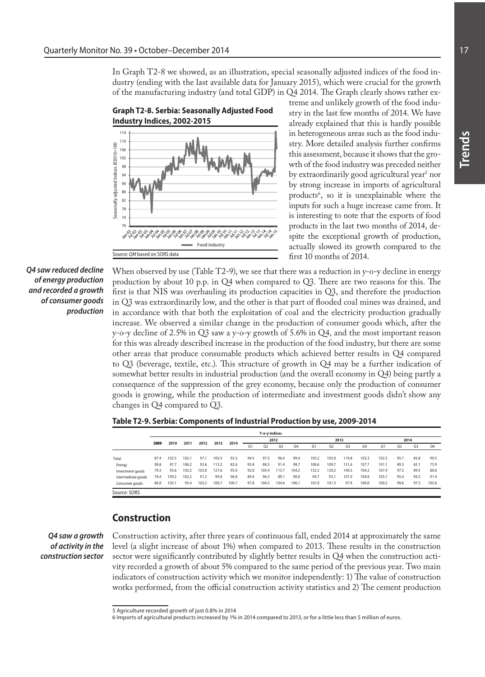In Graph T2-8 we showed, as an illustration, special seasonally adjusted indices of the food industry (ending with the last available data for January 2015), which were crucial for the growth of the manufacturing industry (and total GDP) in Q4 2014. The Graph clearly shows rather ex-



treme and unlikely growth of the food industry in the last few months of 2014. We have already explained that this is hardly possible in heterogeneous areas such as the food industry. More detailed analysis further confirms this assessment, because it shows that the growth of the food industry was preceded neither by extraordinarily good agricultural year<sup>s</sup> nor by strong increase in imports of agricultural products<sup>6</sup>, so it is unexplainable where the inputs for such a huge increase came from. It is interesting to note that the exports of food products in the last two months of 2014, despite the exceptional growth of production, actually slowed its growth compared to the first 10 months of 2014.

*Q4 saw reduced decline of energy production and recorded a growth of consumer goods production*

When observed by use (Table T2-9), we see that there was a reduction in y-o-y decline in energy production by about 10 p.p. in Q4 when compared to Q3. There are two reasons for this. The first is that NIS was overhauling its production capacities in Q3, and therefore the production in Q3 was extraordinarily low, and the other is that part of flooded coal mines was drained, and in accordance with that both the exploitation of coal and the electricity production gradually increase. We observed a similar change in the production of consumer goods which, after the y-o-y decline of 2.5% in Q3 saw a y-o-y growth of 5.6% in Q4, and the most important reason for this was already described increase in the production of the food industry, but there are some other areas that produce consumable products which achieved better results in Q4 compared to Q3 (beverage, textile, etc.). This structure of growth in Q4 may be a further indication of somewhat better results in industrial production (and the overall economy in Q4) being partly a consequence of the suppression of the grey economy, because only the production of consumer goods is growing, while the production of intermediate and investment goods didn't show any changes in Q4 compared to Q3.

| Table T2-9. Serbia: Components of Industrial Production by use, 2009-2014 |  |
|---------------------------------------------------------------------------|--|
|---------------------------------------------------------------------------|--|

|                    |      |       |       |       |       |       |                | Y-o-y indices |       |       |                |                |       |       |                |      |      |       |  |
|--------------------|------|-------|-------|-------|-------|-------|----------------|---------------|-------|-------|----------------|----------------|-------|-------|----------------|------|------|-------|--|
|                    | 2009 | 2010  | 2011  | 2012  | 2013  | 2014  |                |               | 2012  |       |                | 2013           |       |       |                | 2014 |      |       |  |
|                    |      |       |       |       |       |       | O <sub>1</sub> | 02            | Q3    | 04    | O <sub>1</sub> | O <sub>2</sub> | 03    | Q4    | O <sub>1</sub> | 02   | 03   | 04    |  |
|                    |      |       |       |       |       |       |                |               |       |       |                |                |       |       |                |      |      |       |  |
| Total              | 87.4 | 102.5 | 102.1 | 97.1  | 105.5 | 93.5  | 94.5           | 97.2          | 96.4  | 99.4  | 105.2          | 103.0          | 110.8 | 103.3 | 102.5          | 95.7 | 85.8 | 90.5  |  |
| Energy             | 98.8 | 97.7  | 106.2 | 93.6  | 113.2 | 82.6  | 95.8           | 88.3          | 91.4  | 98.7  | 108.6          | 109.7          | 131.6 | 107.7 | 101.1          | 89.3 | 65.1 | 75.9  |  |
| Investment goods   | 79.3 | 93.6  | 103.2 | 103.8 | 127.6 | 95.9  | 92.0           | 105.4         | 113.7 | 104.2 | 132.3          | 130.2          | 140.5 | 104.2 | 107.4          | 97.5 | 89.5 | 88.6  |  |
| Intermediate goods | 78.4 | 109.2 | 102.2 | 91.2  | 99.0  | 96.8  | 89.4           | 96.3          | 89.1  | 90.0  | 94.7           | 93.1           | 101.9 | 104.8 | 105.7          | 95.4 | 94.2 | 91.4  |  |
| Consumer goods     | 86.8 | 102.1 | 95.4  | 103.2 | 100.7 | 100.7 | 97.8           | 104.5         | 104.6 | 106.1 | 107.0          | 101.5          | 97.4  | 100.0 | 100.2          | 99.6 | 97.5 | 105.6 |  |
| Source: SORS       |      |       |       |       |       |       |                |               |       |       |                |                |       |       |                |      |      |       |  |

#### **Construction**

*Q4 saw a growth of activity in the construction sector*

Construction activity, after three years of continuous fall, ended 2014 at approximately the same level (a slight increase of about 1%) when compared to 2013. These results in the construction sector were significantly contributed by slightly better results in Q4 when the construction activity recorded a growth of about 5% compared to the same period of the previous year. Two main indicators of construction activity which we monitor independently: 1) The value of construction works performed, from the official construction activity statistics and 2) The cement production

<sup>5</sup> Agriculture recorded growth of just 0.8% in 2014

<sup>6</sup> Imports of agricultural products increased by 1% in 2014 compared to 2013, or for a little less than 5 million of euros.